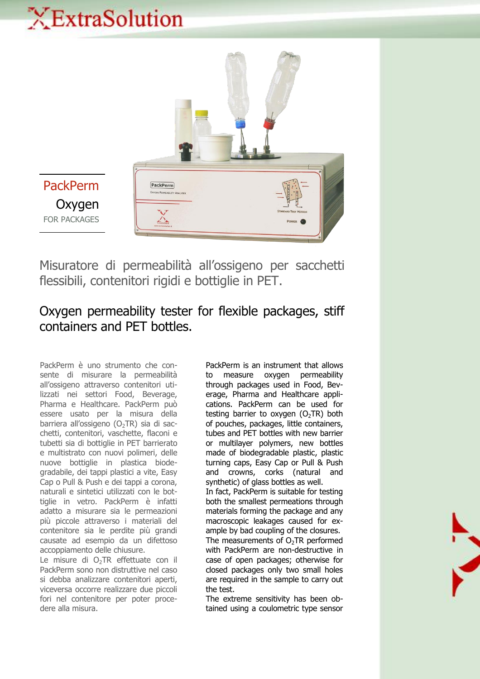## XExtraSolution



Misuratore di permeabilità all'ossigeno per sacchetti flessibili, contenitori rigidi e bottiglie in PET.

## Oxygen permeability tester for flexible packages, stiff containers and PET bottles.

PackPerm è uno strumento che consente di misurare la permeabilità all'ossigeno attraverso contenitori utilizzati nei settori Food, Beverage, Pharma e Healthcare. PackPerm può essere usato per la misura della barriera all'ossigeno ( $O<sub>2</sub>TR$ ) sia di sacchetti, contenitori, vaschette, flaconi e tubetti sia di bottiglie in PET barrierato e multistrato con nuovi polimeri, delle nuove bottiglie in plastica biodegradabile, dei tappi plastici a vite, Easy Cap o Pull & Push e dei tappi a corona, naturali e sintetici utilizzati con le bottiglie in vetro. PackPerm è infatti adatto a misurare sia le permeazioni più piccole attraverso i materiali del contenitore sia le perdite più grandi causate ad esempio da un difettoso accoppiamento delle chiusure.

Le misure di O<sub>2</sub>TR effettuate con il PackPerm sono non distruttive nel caso si debba analizzare contenitori aperti, viceversa occorre realizzare due piccoli fori nel contenitore per poter procedere alla misura.

PackPerm is an instrument that allows to measure oxygen permeability through packages used in Food, Beverage, Pharma and Healthcare applications. PackPerm can be used for testing barrier to oxygen  $(O<sub>2</sub>TR)$  both of pouches, packages, little containers, tubes and PET bottles with new barrier or multilayer polymers, new bottles made of biodegradable plastic, plastic turning caps, Easy Cap or Pull & Push and crowns, corks (natural and synthetic) of glass bottles as well.

In fact, PackPerm is suitable for testing both the smallest permeations through materials forming the package and any macroscopic leakages caused for example by bad coupling of the closures.

The measurements of  $O<sub>2</sub>TR$  performed with PackPerm are non-destructive in case of open packages; otherwise for closed packages only two small holes are required in the sample to carry out the test.

The extreme sensitivity has been obtained using a coulometric type sensor